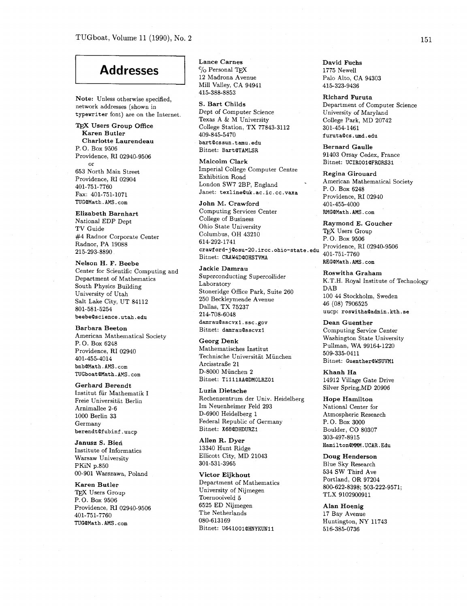## **Addresses**

**Note:** Unless otherwise specified, network addresses (shown in typewriter font) are on the Internet.

## TEX Users Group Office **Karen Butler Charlotte Laurendeau**  P. 0. Box **<sup>9506</sup>** Providence, RI **02940-9506**  or **653** North Main Street Providence, RI **02904 401-751-7760**

Fax: **401-751-1071**  TUGQMath.AMS.com **Elizabeth Barnhart**  National EDP Dept

TV Guide **#4** Radnor Corporate Center Radnor, PA **19088 215-293-8890** 

**Nelson H. F. Beebe**  Center for Scientific Computing and Department of Mathematics South Physics Building University of Utah Salt Lake City, UT **84112 801-581-5254**  beebeQscience.utah.edu

**Barbara Beeton**  American Mathematical Society P. 0. Box **6248**  Providence, RI **02940 401-455-4014**  bnbQMath.AMS.com TUGboatQMath.AMS.com

**Gerhard Berendt**  Institut für Mathematik I Freie Universitat Berlin Arnimallee **2-6 1000** Berlin **33**  Germany berendtQfubinf.uucp

**Janusz S. Biefi**  Institute of Informatics Warsaw University PKiN **p.850 00-901** Warszawa, Poland

**Karen Butler**  TEX Users Group P. 0. Box **<sup>9506</sup>** Providence, RI **02940-9506 401-751-7760**  TUGQMath.AMS.com

**Lance Carnes**   $C_O$  Personal TFX **12** Madrona Avenue Mill Valley, CA **94941 415-388-8853** 

**S. Bart Childs**  Dept of Computer Science Texas A & M University College Station, TX **77843-3112 409-845-5470**  bartQcssun.tamu.edu Bitnet: BartQTAMLSR

**Malcolm Clark**  Imperial College Computer Centre Exhibition Road London SW7 2BP, England Janet: **texlineQuk.ac.ic.cc.vaxa** 

**John M. Crawford**  Computing Services Center College of Business Ohio State University Columbus, OH **43210 614-292-1741 crawford-jQosu-20.ircc.ohio-state.edu**  Bitnet: CRAW4DQOHSTVMA

**Jackie Damrau**  Superconducting Supercollider Laboratory Stoneridge Office Park, Suite **260 250** Beckleymeade Avenue Dallas, TX **75237 214-708-6048**  damrauQsscvxl.ssc.gov Bitnet: damrauQsscvx1

**Georg Denk**  Mathematisches Institut Technische Universitat Miinchen ArcisstraBe **21 D-8000** Munchen **2**  Bitnet: T1111AA@DMOLRZ01

**Luzia Dietsche**  Rechenzentrum der Univ. Heidelberg Im Neuenheimer Feld **293 D-6900** Heidelberg **1**  Federal Republic of Germany Bitnet: X68@DHDURZ1

**Allen R. Dyer 13340** Hunt Ridge Ellicott City, MD **21043 301-531-3965** 

**Victor Eijkhout**  Department of Mathematics University of Nijmegen Toernooiveld 5 **6525** ED Nijmegen The Netherlands **080-613169**  Bitnet: U641001@HNYKUN11

**David Fuchs 1775** Newel1 Palo Alto, CA **94303 415-323-9436** 

**Richard Furuta**  Department of Computer Science University of Maryland College Park, MD **20742 301-454-1461**<br> **furuta@cs.umd.edu** 

**Bernard Gaulle 91403** Orsay Cedex, France Bitnet: UCIRO01@FRORS31

**Regina Girouard**  American Mathematical Society P. 0. Box **6248**  Providence, RI **02940 401-455-4000**  RMGQMath.AMS.com

**Raymond E. Goucher**  TFX Users Group P. 0. Box **9506**  Providence, RI **02940-9506 401-751-7760**  REGQMath.AMS.com

**Roswitha Graham**  K.T.H. Royal Institute of Technology DAB **100 44** Stockholm, Sweden **46 (08) 7906525**  uucp: roswithaQadmin.kth.se

**Dean Guenther**  Computing Service Center Washington State University Pullman, WA **99164-1220 509-335-0411**  Bitnet: GuentherQWSWMl

**Khanh Ha 14912** Village Gate Drive Silver Spring,MD **20906** 

**Hope Hamilton**  National Center for Atmospheric Research P. 0. Box **3000**  Boulder, CO **80307 303-497-8915**  HamiltonQMMM.UCAR.Edu

**Doug Henderson**  Blue Sky Research **534** SW Third Ave Portland, OR **97204 800-622-8398; 503-222-9571;**  TLX **9102900911** 

**Alan Hoenig 17** Bay Avenue Huntington, NY **11743 516-385-0736**